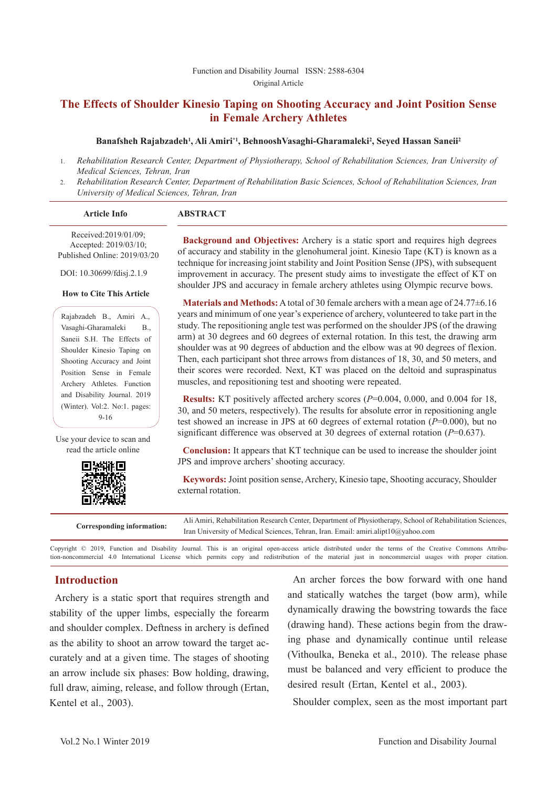#### Function and Disability Journal ISSN: 2588-6304 Original Article

# **The Effects of Shoulder Kinesio Taping on Shooting Accuracy and Joint Position Sense in Female Archery Athletes**

#### **Banafsheh Rajabzadeh1 , Ali Amiri\*1, BehnooshVasaghi-Gharamaleki2 , Seyed Hassan Saneii2**

- 1. *Rehabilitation Research Center, Department of Physiotherapy, School of Rehabilitation Sciences, Iran University of Medical Sciences, Tehran, Iran*
- 2. *Rehabilitation Research Center, Department of Rehabilitation Basic Sciences, School of Rehabilitation Sciences, Iran University of Medical Sciences, Tehran, Iran*

| <b>Article Info</b> | <b>ABSTRACT</b> |  |
|---------------------|-----------------|--|

Received:2019/01/09; Accepted: 2019/03/10; Published Online: 2019/03/20

DOI: 10.30699/fdisj.2.1.9

#### **How to Cite This Article**

Rajabzadeh B., Amiri A., Vasaghi-Gharamaleki B., Saneii S.H. The Effects of Shoulder Kinesio Taping on Shooting Accuracy and Joint Position Sense in Female Archery Athletes. Function and Disability Journal. 2019 (Winter). Vol:2. No:1. pages: 9-16

Use your device to scan and read the article online



**Background and Objectives:** Archery is a static sport and requires high degrees of accuracy and stability in the glenohumeral joint. Kinesio Tape (KT) is known as a technique for increasing joint stability and Joint Position Sense (JPS), with subsequent improvement in accuracy. The present study aims to investigate the effect of KT on shoulder JPS and accuracy in female archery athletes using Olympic recurve bows.

**Materials and Methods:** A total of 30 female archers with a mean age of 24.77±6.16 years and minimum of one year's experience of archery, volunteered to take part in the study. The repositioning angle test was performed on the shoulder JPS (of the drawing arm) at 30 degrees and 60 degrees of external rotation. In this test, the drawing arm shoulder was at 90 degrees of abduction and the elbow was at 90 degrees of flexion. Then, each participant shot three arrows from distances of 18, 30, and 50 meters, and their scores were recorded. Next, KT was placed on the deltoid and supraspinatus muscles, and repositioning test and shooting were repeated.

**Results:** KT positively affected archery scores (*P*=0.004, 0.000, and 0.004 for 18, 30, and 50 meters, respectively). The results for absolute error in repositioning angle test showed an increase in JPS at 60 degrees of external rotation (*P*=0.000), but no significant difference was observed at 30 degrees of external rotation (*P*=0.637).

**Conclusion:** It appears that KT technique can be used to increase the shoulder joint JPS and improve archers' shooting accuracy.

**Keywords:** Joint position sense, Archery, Kinesio tape, Shooting accuracy, Shoulder external rotation.

**Corresponding information:** Ali Amiri, Rehabilitation Research Center, Department of Physiotherapy, School of Rehabilitation Sciences, Iran University of Medical Sciences, Tehran, Iran. Email: amiri.alipt10@yahoo.com

Copyright © 2019, Function and Disability Journal. This is an original open-access article distributed under the terms of the Creative Commons Attribution-noncommercial 4.0 International License which permits copy and redistribution of the material just in noncommercial usages with proper citation.

## **Introduction**

Archery is a static sport that requires strength and stability of the upper limbs, especially the forearm and shoulder complex. Deftness in archery is defined as the ability to shoot an arrow toward the target accurately and at a given time. The stages of shooting an arrow include six phases: Bow holding, drawing, full draw, aiming, release, and follow through (Ertan, Kentel et al., 2003).

An archer forces the bow forward with one hand and statically watches the target (bow arm), while dynamically drawing the bowstring towards the face (drawing hand). These actions begin from the drawing phase and dynamically continue until release (Vithoulka, Beneka et al., 2010). The release phase must be balanced and very efficient to produce the desired result (Ertan, Kentel et al., 2003).

Shoulder complex, seen as the most important part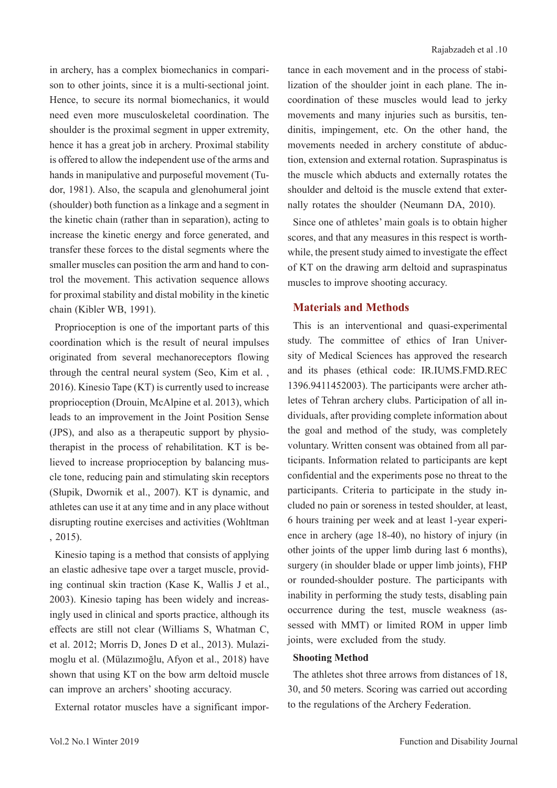in archery, has a complex biomechanics in comparison to other joints, since it is a multi-sectional joint. Hence, to secure its normal biomechanics, it would need even more musculoskeletal coordination. The shoulder is the proximal segment in upper extremity, hence it has a great job in archery. Proximal stability is offered to allow the independent use of the arms and hands in manipulative and purposeful movement (Tudor, 1981). Also, the scapula and glenohumeral joint (shoulder) both function as a linkage and a segment in the kinetic chain (rather than in separation), acting to increase the kinetic energy and force generated, and transfer these forces to the distal segments where the smaller muscles can position the arm and hand to control the movement. This activation sequence allows for proximal stability and distal mobility in the kinetic chain (Kibler WB, 1991).

Proprioception is one of the important parts of this coordination which is the result of neural impulses originated from several mechanoreceptors flowing through the central neural system (Seo, Kim et al. , 2016). Kinesio Tape (KT) is currently used to increase proprioception (Drouin, McAlpine et al. 2013), which leads to an improvement in the Joint Position Sense (JPS), and also as a therapeutic support by physiotherapist in the process of rehabilitation. KT is believed to increase proprioception by balancing muscle tone, reducing pain and stimulating skin receptors (Słupik, Dwornik et al., 2007). KT is dynamic, and athletes can use it at any time and in any place without disrupting routine exercises and activities (Wohltman , 2015).

Kinesio taping is a method that consists of applying an elastic adhesive tape over a target muscle, providing continual skin traction (Kase K, Wallis J et al., 2003). Kinesio taping has been widely and increasingly used in clinical and sports practice, although its effects are still not clear (Williams S, Whatman C, et al. 2012; Morris D, Jones D et al., 2013). Mulazimoglu et al. (Mülazımoğlu, Afyon et al., 2018) have shown that using KT on the bow arm deltoid muscle can improve an archers' shooting accuracy.

External rotator muscles have a significant impor-

tance in each movement and in the process of stabilization of the shoulder joint in each plane. The incoordination of these muscles would lead to jerky movements and many injuries such as bursitis, tendinitis, impingement, etc. On the other hand, the movements needed in archery constitute of abduction, extension and external rotation. Supraspinatus is the muscle which abducts and externally rotates the shoulder and deltoid is the muscle extend that externally rotates the shoulder (Neumann DA, 2010).

Since one of athletes' main goals is to obtain higher scores, and that any measures in this respect is worthwhile, the present study aimed to investigate the effect of KT on the drawing arm deltoid and supraspinatus muscles to improve shooting accuracy.

## **Materials and Methods**

This is an interventional and quasi-experimental study. The committee of ethics of Iran University of Medical Sciences has approved the research and its phases (ethical code: IR.IUMS.FMD.REC 1396.9411452003). The participants were archer athletes of Tehran archery clubs. Participation of all individuals, after providing complete information about the goal and method of the study, was completely voluntary. Written consent was obtained from all participants. Information related to participants are kept confidential and the experiments pose no threat to the participants. Criteria to participate in the study included no pain or soreness in tested shoulder, at least, 6 hours training per week and at least 1-year experience in archery (age 18-40), no history of injury (in other joints of the upper limb during last 6 months), surgery (in shoulder blade or upper limb joints), FHP or rounded-shoulder posture. The participants with inability in performing the study tests, disabling pain occurrence during the test, muscle weakness (assessed with MMT) or limited ROM in upper limb joints, were excluded from the study.

### **Shooting Method**

The athletes shot three arrows from distances of 18, 30, and 50 meters. Scoring was carried out according to the regulations of the Archery Federation.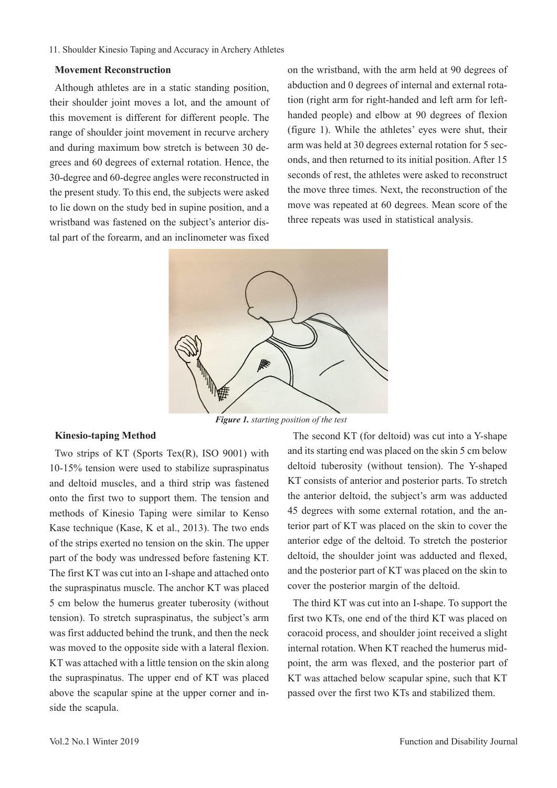#### 11. Shoulder Kinesio Taping and Accuracy in Archery Athletes

#### **Movement Reconstruction**

Although athletes are in a static standing position, their shoulder joint moves a lot, and the amount of this movement is different for different people. The range of shoulder joint movement in recurve archery and during maximum bow stretch is between 30 degrees and 60 degrees of external rotation. Hence, the 30-degree and 60-degree angles were reconstructed in the present study. To this end, the subjects were asked to lie down on the study bed in supine position, and a wristband was fastened on the subject's anterior distal part of the forearm, and an inclinometer was fixed

on the wristband, with the arm held at 90 degrees of abduction and 0 degrees of internal and external rotation (right arm for right-handed and left arm for lefthanded people) and elbow at 90 degrees of flexion (figure 1). While the athletes' eyes were shut, their arm was held at 30 degrees external rotation for 5 seconds, and then returned to its initial position. After 15 seconds of rest, the athletes were asked to reconstruct the move three times. Next, the reconstruction of the move was repeated at 60 degrees. Mean score of the three repeats was used in statistical analysis.



*Figure 1. starting position of the test*

#### **Kinesio-taping Method**

Two strips of KT (Sports Tex(R), ISO 9001) with 10-15% tension were used to stabilize supraspinatus and deltoid muscles, and a third strip was fastened onto the first two to support them. The tension and methods of Kinesio Taping were similar to Kenso Kase technique (Kase, K et al., 2013). The two ends of the strips exerted no tension on the skin. The upper part of the body was undressed before fastening KT. The first KT was cut into an I-shape and attached onto the supraspinatus muscle. The anchor KT was placed 5 cm below the humerus greater tuberosity (without tension). To stretch supraspinatus, the subject's arm was first adducted behind the trunk, and then the neck was moved to the opposite side with a lateral flexion. KT was attached with a little tension on the skin along the supraspinatus. The upper end of KT was placed above the scapular spine at the upper corner and inside the scapula.

The second KT (for deltoid) was cut into a Y-shape and its starting end was placed on the skin 5 cm below deltoid tuberosity (without tension). The Y-shaped KT consists of anterior and posterior parts. To stretch the anterior deltoid, the subject's arm was adducted 45 degrees with some external rotation, and the anterior part of KT was placed on the skin to cover the anterior edge of the deltoid. To stretch the posterior deltoid, the shoulder joint was adducted and flexed, and the posterior part of KT was placed on the skin to cover the posterior margin of the deltoid.

The third KT was cut into an I-shape. To support the first two KTs, one end of the third KT was placed on coracoid process, and shoulder joint received a slight internal rotation. When KT reached the humerus midpoint, the arm was flexed, and the posterior part of KT was attached below scapular spine, such that KT passed over the first two KTs and stabilized them.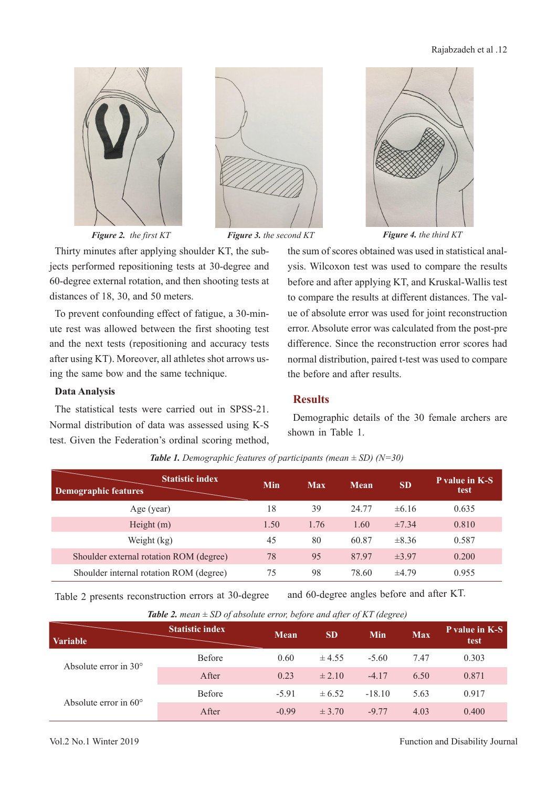



*Figure 2. the first KT*

Thirty minutes after applying shoulder KT, the subjects performed repositioning tests at 30-degree and 60-degree external rotation, and then shooting tests at distances of 18, 30, and 50 meters.

To prevent confounding effect of fatigue, a 30-minute rest was allowed between the first shooting test and the next tests (repositioning and accuracy tests after using KT). Moreover, all athletes shot arrows using the same bow and the same technique.

#### **Data Analysis**

The statistical tests were carried out in SPSS-21. Normal distribution of data was assessed using K-S test. Given the Federation's ordinal scoring method,



*Figure 3. the second KT Figure 4. the third KT*

the sum of scores obtained was used in statistical analysis. Wilcoxon test was used to compare the results before and after applying KT, and Kruskal-Wallis test to compare the results at different distances. The value of absolute error was used for joint reconstruction error. Absolute error was calculated from the post-pre difference. Since the reconstruction error scores had normal distribution, paired t-test was used to compare the before and after results.

## **Results**

Demographic details of the 30 female archers are shown in Table 1.

| <b>Statistic index</b><br><b>Demographic features</b> | Min  | Max  | <b>Mean</b> | <b>SD</b>  | <b>P</b> value in K-S<br>test |
|-------------------------------------------------------|------|------|-------------|------------|-------------------------------|
| Age (year)                                            | 18   | 39   | 24.77       | ±6.16      | 0.635                         |
| Height (m)                                            | 1.50 | 1.76 | 1.60        | $\pm 7.34$ | 0.810                         |
| Weight (kg)                                           | 45   | 80   | 60.87       | $\pm 8.36$ | 0.587                         |
| Shoulder external rotation ROM (degree)               | 78   | 95   | 87.97       | $\pm 3.97$ | 0.200                         |
| Shoulder internal rotation ROM (degree)               | 75   | 98   | 78.60       | $\pm 4.79$ | 0.955                         |

*Table 1. Demographic features of participants (mean ± SD) (N=30)*

Table 2 presents reconstruction errors at 30-degree and 60-degree angles before and after KT.

| <b>Variable</b>                | <b>Statistic index</b> | <b>Mean</b> | <b>SD</b>  | Min      | Max  | <b>P</b> value in K-S<br>test |
|--------------------------------|------------------------|-------------|------------|----------|------|-------------------------------|
| Absolute error in $30^{\circ}$ | Before                 | 0.60        | $\pm 4.55$ | $-5.60$  | 7.47 | 0.303                         |
|                                | After                  | 0.23        | $\pm 2.10$ | $-4.17$  | 6.50 | 0.871                         |
|                                | Before                 | $-5.91$     | $\pm 6.52$ | $-18.10$ | 5.63 | 0.917                         |
| Absolute error in $60^{\circ}$ | After                  | $-0.99$     | $\pm$ 3.70 | $-9.77$  | 4.03 | 0.400                         |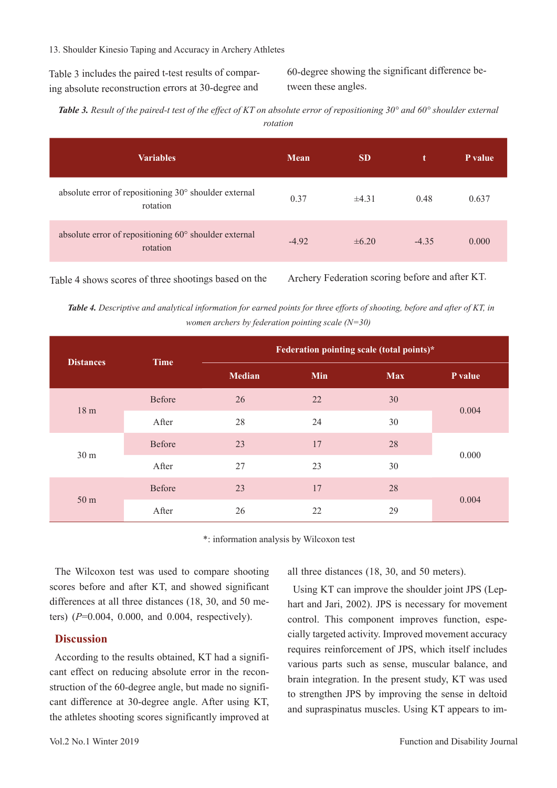13. Shoulder Kinesio Taping and Accuracy in Archery Athletes

Table 3 includes the paired t-test results of comparing absolute reconstruction errors at 30-degree and

60-degree showing the significant difference between these angles.

*Table 3. Result of the paired-t test of the effect of KT on absolute error of repositioning 30° and 60° shoulder external rotation*

| <b>Variables</b>                                                  | <b>Mean</b> | <b>SD</b>  | t       | P value |
|-------------------------------------------------------------------|-------------|------------|---------|---------|
| absolute error of repositioning 30° shoulder external<br>rotation | 0.37        | $\pm 4.31$ | 0.48    | 0.637   |
| absolute error of repositioning 60° shoulder external<br>rotation | $-4.92$     | $\pm 6.20$ | $-4.35$ | 0.000   |

Table 4 shows scores of three shootings based on the Archery Federation scoring before and after KT.

*Table 4. Descriptive and analytical information for earned points for three efforts of shooting, before and after of KT, in women archers by federation pointing scale (N=30)*

| <b>Distances</b> | <b>Time</b>   | Federation pointing scale (total points)* |     |            |         |
|------------------|---------------|-------------------------------------------|-----|------------|---------|
|                  |               | <b>Median</b>                             | Min | <b>Max</b> | P value |
| 18 <sub>m</sub>  | <b>Before</b> | 26                                        | 22  | 30         |         |
|                  | After         | 28                                        | 24  | 30         | 0.004   |
| 30 <sub>m</sub>  | Before        | 23                                        | 17  | 28         | 0.000   |
|                  | After         | 27                                        | 23  | 30         |         |
| 50 <sub>m</sub>  | Before        | 23                                        | 17  | 28         | 0.004   |
|                  | After         | 26                                        | 22  | 29         |         |

\*: information analysis by Wilcoxon test

The Wilcoxon test was used to compare shooting scores before and after KT, and showed significant differences at all three distances (18, 30, and 50 meters) (*P*=0.004, 0.000, and 0.004, respectively).

### **Discussion**

According to the results obtained, KT had a significant effect on reducing absolute error in the reconstruction of the 60-degree angle, but made no significant difference at 30-degree angle. After using KT, the athletes shooting scores significantly improved at all three distances (18, 30, and 50 meters).

Using KT can improve the shoulder joint JPS (Lephart and Jari, 2002). JPS is necessary for movement control. This component improves function, especially targeted activity. Improved movement accuracy requires reinforcement of JPS, which itself includes various parts such as sense, muscular balance, and brain integration. In the present study, KT was used to strengthen JPS by improving the sense in deltoid and supraspinatus muscles. Using KT appears to im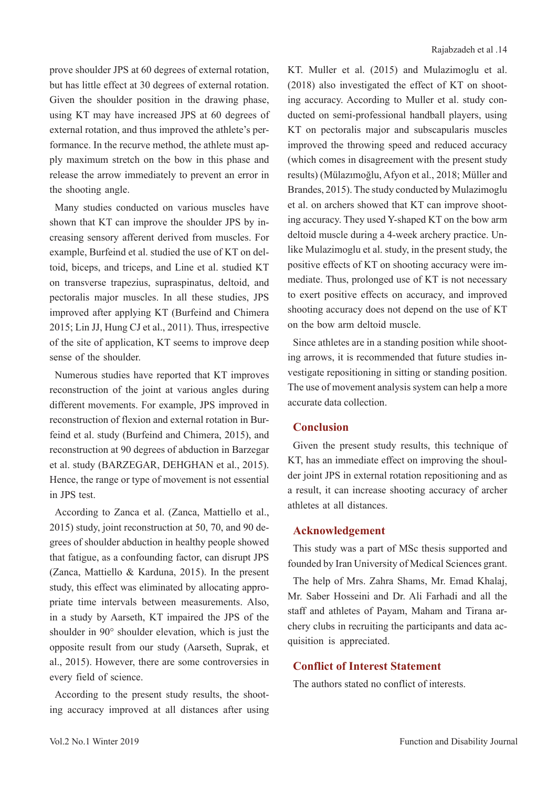prove shoulder JPS at 60 degrees of external rotation, but has little effect at 30 degrees of external rotation. Given the shoulder position in the drawing phase, using KT may have increased JPS at 60 degrees of external rotation, and thus improved the athlete's performance. In the recurve method, the athlete must apply maximum stretch on the bow in this phase and release the arrow immediately to prevent an error in the shooting angle.

Many studies conducted on various muscles have shown that KT can improve the shoulder JPS by increasing sensory afferent derived from muscles. For example, Burfeind et al. studied the use of KT on deltoid, biceps, and triceps, and Line et al. studied KT on transverse trapezius, supraspinatus, deltoid, and pectoralis major muscles. In all these studies, JPS improved after applying KT (Burfeind and Chimera 2015; Lin JJ, Hung CJ et al., 2011). Thus, irrespective of the site of application, KT seems to improve deep sense of the shoulder.

Numerous studies have reported that KT improves reconstruction of the joint at various angles during different movements. For example, JPS improved in reconstruction of flexion and external rotation in Burfeind et al. study (Burfeind and Chimera, 2015), and reconstruction at 90 degrees of abduction in Barzegar et al. study (BARZEGAR, DEHGHAN et al., 2015). Hence, the range or type of movement is not essential in JPS test.

According to Zanca et al. (Zanca, Mattiello et al., 2015) study, joint reconstruction at 50, 70, and 90 degrees of shoulder abduction in healthy people showed that fatigue, as a confounding factor, can disrupt JPS (Zanca, Mattiello & Karduna, 2015). In the present study, this effect was eliminated by allocating appropriate time intervals between measurements. Also, in a study by Aarseth, KT impaired the JPS of the shoulder in 90° shoulder elevation, which is just the opposite result from our study (Aarseth, Suprak, et al., 2015). However, there are some controversies in every field of science.

According to the present study results, the shooting accuracy improved at all distances after using KT. Muller et al. (2015) and Mulazimoglu et al. (2018) also investigated the effect of KT on shooting accuracy. According to Muller et al. study conducted on semi-professional handball players, using KT on pectoralis major and subscapularis muscles improved the throwing speed and reduced accuracy (which comes in disagreement with the present study results) (Mülazımoğlu, Afyon et al., 2018; Müller and Brandes, 2015). The study conducted by Mulazimoglu et al. on archers showed that KT can improve shooting accuracy. They used Y-shaped KT on the bow arm deltoid muscle during a 4-week archery practice. Unlike Mulazimoglu et al. study, in the present study, the positive effects of KT on shooting accuracy were immediate. Thus, prolonged use of KT is not necessary to exert positive effects on accuracy, and improved shooting accuracy does not depend on the use of KT on the bow arm deltoid muscle.

Since athletes are in a standing position while shooting arrows, it is recommended that future studies investigate repositioning in sitting or standing position. The use of movement analysis system can help a more accurate data collection.

# **Conclusion**

Given the present study results, this technique of KT, has an immediate effect on improving the shoulder joint JPS in external rotation repositioning and as a result, it can increase shooting accuracy of archer athletes at all distances.

#### **Acknowledgement**

This study was a part of MSc thesis supported and founded by Iran University of Medical Sciences grant.

The help of Mrs. Zahra Shams, Mr. Emad Khalaj, Mr. Saber Hosseini and Dr. Ali Farhadi and all the staff and athletes of Payam, Maham and Tirana archery clubs in recruiting the participants and data acquisition is appreciated.

## **Conflict of Interest Statement**

The authors stated no conflict of interests.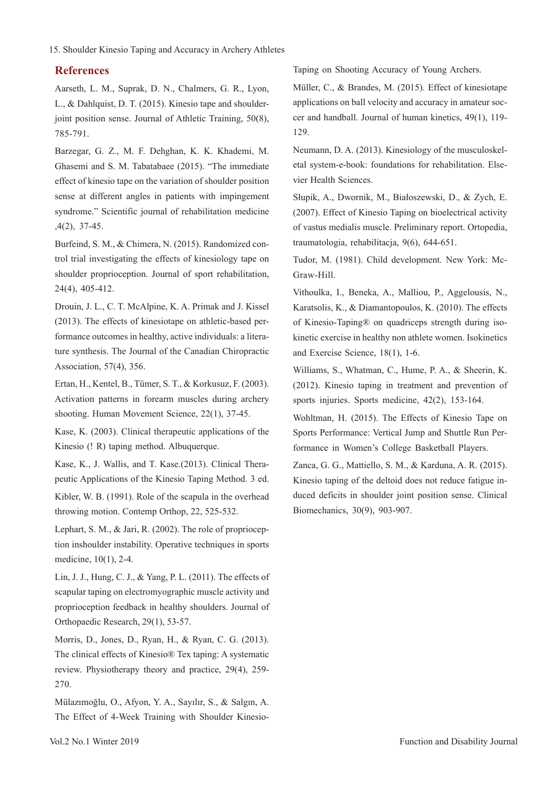#### 15. Shoulder Kinesio Taping and Accuracy in Archery Athletes

#### **References**

Aarseth, L. M., Suprak, D. N., Chalmers, G. R., Lyon, L., & Dahlquist, D. T. (2015). Kinesio tape and shoulderjoint position sense. Journal of Athletic Training, 50(8), 785-791.

Barzegar, G. Z., M. F. Dehghan, K. K. Khademi, M. Ghasemi and S. M. Tabatabaee (2015). "The immediate effect of kinesio tape on the variation of shoulder position sense at different angles in patients with impingement syndrome." Scientific journal of rehabilitation medicine ,4(2), 37-45.

Burfeind, S. M., & Chimera, N. (2015). Randomized control trial investigating the effects of kinesiology tape on shoulder proprioception. Journal of sport rehabilitation, 24(4), 405-412.

Drouin, J. L., C. T. McAlpine, K. A. Primak and J. Kissel (2013). The effects of kinesiotape on athletic-based performance outcomes in healthy, active individuals: a literature synthesis. The Journal of the Canadian Chiropractic Association, 57(4), 356.

Ertan, H., Kentel, B., Tümer, S. T., & Korkusuz, F. (2003). Activation patterns in forearm muscles during archery shooting. Human Movement Science, 22(1), 37-45.

Kase, K. (2003). Clinical therapeutic applications of the Kinesio (! R) taping method. Albuquerque.

Kase, K., J. Wallis, and T. Kase.(2013). Clinical Therapeutic Applications of the Kinesio Taping Method. 3 ed. Kibler, W. B. (1991). Role of the scapula in the overhead throwing motion. Contemp Orthop, 22, 525-532.

Lephart, S. M., & Jari, R. (2002). The role of proprioception inshoulder instability. Operative techniques in sports medicine, 10(1), 2-4.

Lin, J. J., Hung, C. J., & Yang, P. L. (2011). The effects of scapular taping on electromyographic muscle activity and proprioception feedback in healthy shoulders. Journal of Orthopaedic Research, 29(1), 53-57.

Morris, D., Jones, D., Ryan, H., & Ryan, C. G. (2013). The clinical effects of Kinesio® Tex taping: A systematic review. Physiotherapy theory and practice, 29(4), 259- 270.

Mülazımoğlu, O., Afyon, Y. A., Sayılır, S., & Salgın, A. The Effect of 4-Week Training with Shoulder KinesioTaping on Shooting Accuracy of Young Archers.

Müller, C., & Brandes, M. (2015). Effect of kinesiotape applications on ball velocity and accuracy in amateur soccer and handball. Journal of human kinetics, 49(1), 119- 129.

Neumann, D. A. (2013). Kinesiology of the musculoskeletal system-e-book: foundations for rehabilitation. Elsevier Health Sciences.

Słupik, A., Dwornik, M., Białoszewski, D., & Zych, E. (2007). Effect of Kinesio Taping on bioelectrical activity of vastus medialis muscle. Preliminary report. Ortopedia, traumatologia, rehabilitacja, 9(6), 644-651.

Tudor, M. (1981). Child development. New York: Mc-Graw-Hill.

Vithoulka, I., Beneka, A., Malliou, P., Aggelousis, N., Karatsolis, K., & Diamantopoulos, K. (2010). The effects of Kinesio-Taping® on quadriceps strength during isokinetic exercise in healthy non athlete women. Isokinetics and Exercise Science, 18(1), 1-6.

Williams, S., Whatman, C., Hume, P. A., & Sheerin, K. (2012). Kinesio taping in treatment and prevention of sports injuries. Sports medicine, 42(2), 153-164.

Wohltman, H. (2015). The Effects of Kinesio Tape on Sports Performance: Vertical Jump and Shuttle Run Performance in Women's College Basketball Players.

Zanca, G. G., Mattiello, S. M., & Karduna, A. R. (2015). Kinesio taping of the deltoid does not reduce fatigue induced deficits in shoulder joint position sense. Clinical Biomechanics, 30(9), 903-907.